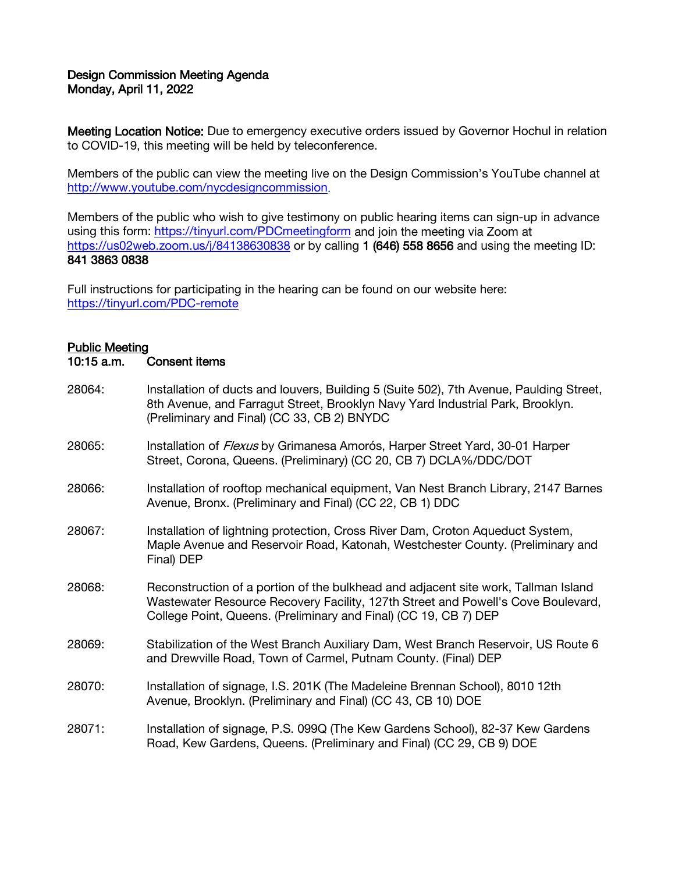## Design Commission Meeting Agenda Monday, April 11, 2022

Meeting Location Notice: Due to emergency executive orders issued by Governor Hochul in relation to COVID-19, this meeting will be held by teleconference.

Members of the public can view the meeting live on the Design Commission's YouTube channel at [http://www.youtube.com/nycdesigncommission.](http://www.youtube.com/nycdesigncommission)

Members of the public who wish to give testimony on public hearing items can sign-up in advance using this form:<https://tinyurl.com/PDCmeetingform> and join the meeting via Zoom at <https://us02web.zoom.us/j/84138630838> or by calling 1 (646) 558 8656 and using the meeting ID: 841 3863 0838

Full instructions for participating in the hearing can be found on our website here: <https://tinyurl.com/PDC-remote>

## Public Meeting

```
10:15 a.m. Consent items
```
28064: Installation of ducts and louvers, Building 5 (Suite 502), 7th Avenue, Paulding Street, 8th Avenue, and Farragut Street, Brooklyn Navy Yard Industrial Park, Brooklyn. (Preliminary and Final) (CC 33, CB 2) BNYDC 28065: Installation of *Flexus* by Grimanesa Amorós, Harper Street Yard, 30-01 Harper Street, Corona, Queens. (Preliminary) (CC 20, CB 7) DCLA%/DDC/DOT 28066: Installation of rooftop mechanical equipment, Van Nest Branch Library, 2147 Barnes Avenue, Bronx. (Preliminary and Final) (CC 22, CB 1) DDC 28067: Installation of lightning protection, Cross River Dam, Croton Aqueduct System, Maple Avenue and Reservoir Road, Katonah, Westchester County. (Preliminary and Final) DEP 28068: Reconstruction of a portion of the bulkhead and adjacent site work, Tallman Island Wastewater Resource Recovery Facility, 127th Street and Powell's Cove Boulevard, College Point, Queens. (Preliminary and Final) (CC 19, CB 7) DEP 28069: Stabilization of the West Branch Auxiliary Dam, West Branch Reservoir, US Route 6 and Drewville Road, Town of Carmel, Putnam County. (Final) DEP 28070: Installation of signage, I.S. 201K (The Madeleine Brennan School), 8010 12th Avenue, Brooklyn. (Preliminary and Final) (CC 43, CB 10) DOE 28071: Installation of signage, P.S. 099Q (The Kew Gardens School), 82-37 Kew Gardens Road, Kew Gardens, Queens. (Preliminary and Final) (CC 29, CB 9) DOE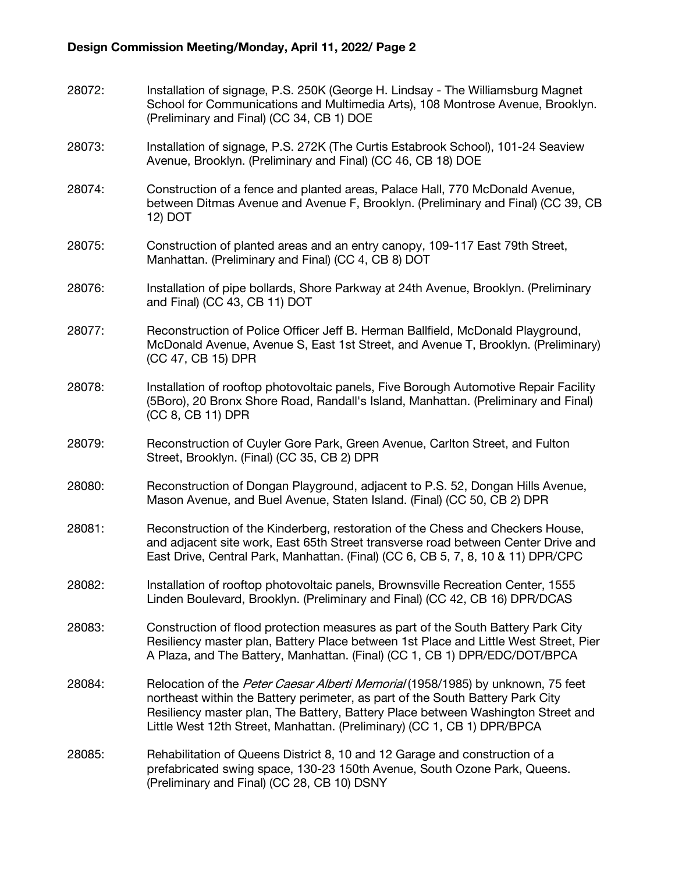28072: Installation of signage, P.S. 250K (George H. Lindsay - The Williamsburg Magnet School for Communications and Multimedia Arts), 108 Montrose Avenue, Brooklyn. (Preliminary and Final) (CC 34, CB 1) DOE 28073: Installation of signage, P.S. 272K (The Curtis Estabrook School), 101-24 Seaview Avenue, Brooklyn. (Preliminary and Final) (CC 46, CB 18) DOE 28074: Construction of a fence and planted areas, Palace Hall, 770 McDonald Avenue, between Ditmas Avenue and Avenue F, Brooklyn. (Preliminary and Final) (CC 39, CB 12) DOT 28075: Construction of planted areas and an entry canopy, 109-117 East 79th Street, Manhattan. (Preliminary and Final) (CC 4, CB 8) DOT 28076: Installation of pipe bollards, Shore Parkway at 24th Avenue, Brooklyn. (Preliminary and Final) (CC 43, CB 11) DOT 28077: Reconstruction of Police Officer Jeff B. Herman Ballfield, McDonald Playground, McDonald Avenue, Avenue S, East 1st Street, and Avenue T, Brooklyn. (Preliminary) (CC 47, CB 15) DPR 28078: Installation of rooftop photovoltaic panels, Five Borough Automotive Repair Facility (5Boro), 20 Bronx Shore Road, Randall's Island, Manhattan. (Preliminary and Final) (CC 8, CB 11) DPR 28079: Reconstruction of Cuyler Gore Park, Green Avenue, Carlton Street, and Fulton Street, Brooklyn. (Final) (CC 35, CB 2) DPR 28080: Reconstruction of Dongan Playground, adjacent to P.S. 52, Dongan Hills Avenue, Mason Avenue, and Buel Avenue, Staten Island. (Final) (CC 50, CB 2) DPR 28081: Reconstruction of the Kinderberg, restoration of the Chess and Checkers House, and adjacent site work, East 65th Street transverse road between Center Drive and East Drive, Central Park, Manhattan. (Final) (CC 6, CB 5, 7, 8, 10 & 11) DPR/CPC 28082: Installation of rooftop photovoltaic panels, Brownsville Recreation Center, 1555 Linden Boulevard, Brooklyn. (Preliminary and Final) (CC 42, CB 16) DPR/DCAS 28083: Construction of flood protection measures as part of the South Battery Park City Resiliency master plan, Battery Place between 1st Place and Little West Street, Pier A Plaza, and The Battery, Manhattan. (Final) (CC 1, CB 1) DPR/EDC/DOT/BPCA 28084: Relocation of the Peter Caesar Alberti Memorial (1958/1985) by unknown, 75 feet northeast within the Battery perimeter, as part of the South Battery Park City Resiliency master plan, The Battery, Battery Place between Washington Street and Little West 12th Street, Manhattan. (Preliminary) (CC 1, CB 1) DPR/BPCA 28085: Rehabilitation of Queens District 8, 10 and 12 Garage and construction of a prefabricated swing space, 130-23 150th Avenue, South Ozone Park, Queens. (Preliminary and Final) (CC 28, CB 10) DSNY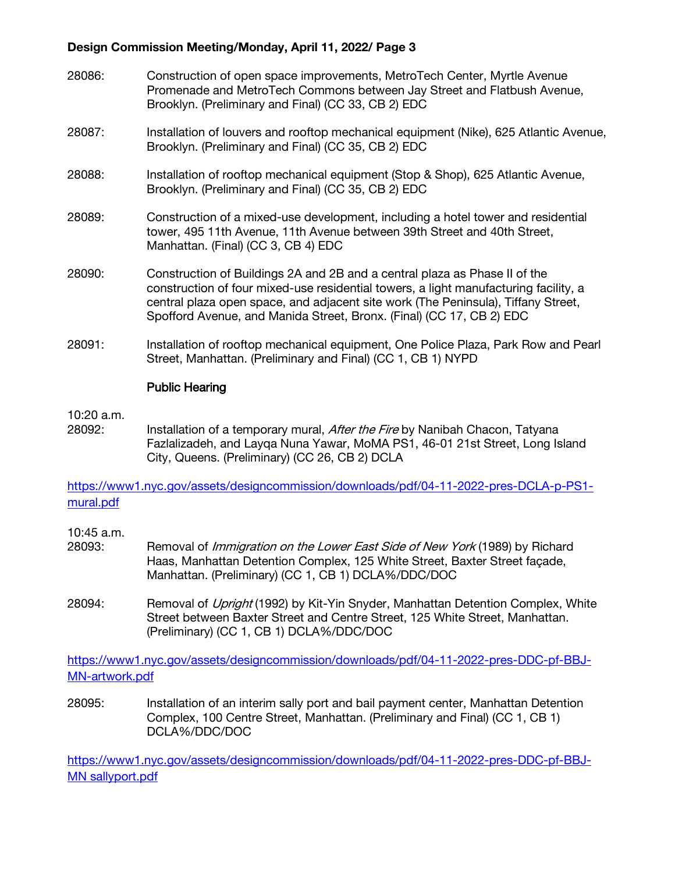## Design Commission Meeting/Monday, April 11, 2022/ Page 3

- 28086: Construction of open space improvements, MetroTech Center, Myrtle Avenue Promenade and MetroTech Commons between Jay Street and Flatbush Avenue, Brooklyn. (Preliminary and Final) (CC 33, CB 2) EDC
- 28087: Installation of louvers and rooftop mechanical equipment (Nike), 625 Atlantic Avenue, Brooklyn. (Preliminary and Final) (CC 35, CB 2) EDC
- 28088: Installation of rooftop mechanical equipment (Stop & Shop), 625 Atlantic Avenue, Brooklyn. (Preliminary and Final) (CC 35, CB 2) EDC
- 28089: Construction of a mixed-use development, including a hotel tower and residential tower, 495 11th Avenue, 11th Avenue between 39th Street and 40th Street, Manhattan. (Final) (CC 3, CB 4) EDC
- 28090: Construction of Buildings 2A and 2B and a central plaza as Phase II of the construction of four mixed-use residential towers, a light manufacturing facility, a central plaza open space, and adjacent site work (The Peninsula), Tiffany Street, Spofford Avenue, and Manida Street, Bronx. (Final) (CC 17, CB 2) EDC
- 28091: Installation of rooftop mechanical equipment, One Police Plaza, Park Row and Pearl Street, Manhattan. (Preliminary and Final) (CC 1, CB 1) NYPD

## Public Hearing

10:20 a.m.

28092: Installation of a temporary mural, *After the Fire* by Nanibah Chacon, Tatyana Fazlalizadeh, and Layqa Nuna Yawar, MoMA PS1, 46-01 21st Street, Long Island City, Queens. (Preliminary) (CC 26, CB 2) DCLA

[https://www1.nyc.gov/assets/designcommission/downloads/pdf/04-11-2022-pres-DCLA-p-PS1](https://www1.nyc.gov/assets/designcommission/downloads/pdf/04-11-2022-pres-DCLA-p-PS1-mural.pdf) [mural.pdf](https://www1.nyc.gov/assets/designcommission/downloads/pdf/04-11-2022-pres-DCLA-p-PS1-mural.pdf)

10:45 a.m.

- 28093: Removal of *Immigration on the Lower East Side of New York* (1989) by Richard Haas, Manhattan Detention Complex, 125 White Street, Baxter Street façade, Manhattan. (Preliminary) (CC 1, CB 1) DCLA%/DDC/DOC
- 28094: Removal of *Upright* (1992) by Kit-Yin Snyder, Manhattan Detention Complex, White Street between Baxter Street and Centre Street, 125 White Street, Manhattan. (Preliminary) (CC 1, CB 1) DCLA%/DDC/DOC

[https://www1.nyc.gov/assets/designcommission/downloads/pdf/04-11-2022-pres-DDC-pf-BBJ-](https://gcc02.safelinks.protection.outlook.com/?url=https%3A%2F%2Fwww1.nyc.gov%2Fassets%2Fdesigncommission%2Fdownloads%2Fpdf%2F04-11-2022-pres-DDC-pf-BBJ-MN-artwork.pdf&data=04%7C01%7CGHan%40cityhall.nyc.gov%7C48590d3b6bb64c05d30708da1711d41e%7C35c828166c56443bbaf68312163cadc1%7C0%7C0%7C637847662591156813%7CUnknown%7CTWFpbGZsb3d8eyJWIjoiMC4wLjAwMDAiLCJQIjoiV2luMzIiLCJBTiI6Ik1haWwiLCJXVCI6Mn0%3D%7C3000&sdata=wIdpIqrZlNX3QhOTwP6Vm3JBcmxcsDXabIKe7ZmjCIE%3D&reserved=0)[MN-artwork.pdf](https://gcc02.safelinks.protection.outlook.com/?url=https%3A%2F%2Fwww1.nyc.gov%2Fassets%2Fdesigncommission%2Fdownloads%2Fpdf%2F04-11-2022-pres-DDC-pf-BBJ-MN-artwork.pdf&data=04%7C01%7CGHan%40cityhall.nyc.gov%7C48590d3b6bb64c05d30708da1711d41e%7C35c828166c56443bbaf68312163cadc1%7C0%7C0%7C637847662591156813%7CUnknown%7CTWFpbGZsb3d8eyJWIjoiMC4wLjAwMDAiLCJQIjoiV2luMzIiLCJBTiI6Ik1haWwiLCJXVCI6Mn0%3D%7C3000&sdata=wIdpIqrZlNX3QhOTwP6Vm3JBcmxcsDXabIKe7ZmjCIE%3D&reserved=0)

28095: Installation of an interim sally port and bail payment center, Manhattan Detention Complex, 100 Centre Street, Manhattan. (Preliminary and Final) (CC 1, CB 1) DCLA%/DDC/DOC

[https://www1.nyc.gov/assets/designcommission/downloads/pdf/04-11-2022-pres-DDC-pf-BBJ-](https://www1.nyc.gov/assets/designcommission/downloads/pdf/04-11-2022-pres-DDC-pf-BBJ-MN-sallyport.pdf)[MN sallyport.pdf](https://www1.nyc.gov/assets/designcommission/downloads/pdf/04-11-2022-pres-DDC-pf-BBJ-MN-sallyport.pdf)